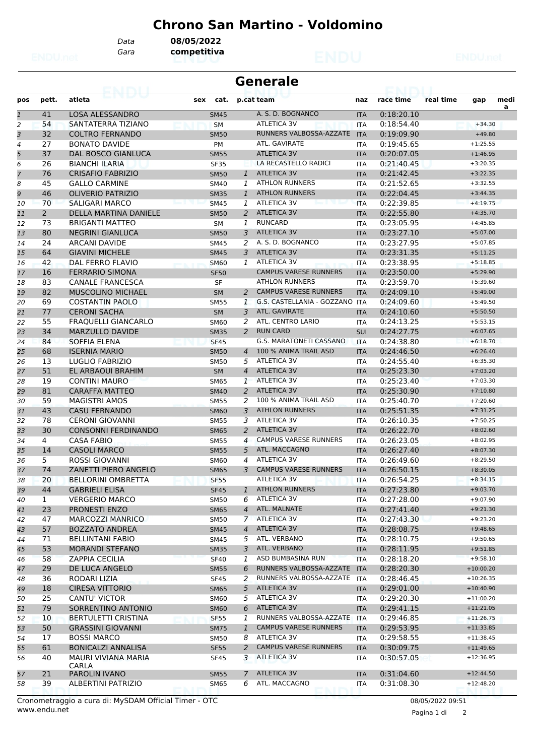## **Chrono San Martino - Voldomino**

*Data* **08/05/2022**

*Gara* **competitiva**

| <b>Generale</b> |                |                            |             |                |                                |            |            |           |             |      |
|-----------------|----------------|----------------------------|-------------|----------------|--------------------------------|------------|------------|-----------|-------------|------|
| pos             | pett.          | atleta                     | cat.<br>sex |                | p.cat team                     | naz        | race time  | real time | gap         | medi |
| $\overline{1}$  | 41             | <b>LOSA ALESSANDRO</b>     | <b>SM45</b> |                | A. S. D. BOGNANCO              | <b>ITA</b> | 0:18:20.10 |           |             | a    |
| 2               | 54             | SANTATERRA TIZIANO         | <b>SM</b>   |                | <b>ATLETICA 3V</b>             | <b>ITA</b> | 0:18:54.40 |           | $+34.30$    |      |
| 3               | 32             | <b>COLTRO FERNANDO</b>     | <b>SM50</b> |                | RUNNERS VALBOSSA-AZZATE        | <b>ITA</b> | 0:19:09.90 |           | $+49.80$    |      |
| $\overline{a}$  | 27             | <b>BONATO DAVIDE</b>       | <b>PM</b>   |                | ATL. GAVIRATE                  | <b>ITA</b> | 0:19:45.65 |           | $+1:25.55$  |      |
| 5               | 37             | <b>DAL BOSCO GIANLUCA</b>  | <b>SM55</b> |                | <b>ATLETICA 3V</b>             | <b>ITA</b> | 0:20:07.05 |           | $+1:46.95$  |      |
| 6               | 26             | <b>BIANCHI ILARIA</b>      | <b>SF35</b> |                | LA RECASTELLO RADICI           | <b>ITA</b> | 0:21:40.45 |           | $+3:20.35$  |      |
| $\overline{7}$  | 76             | <b>CRISAFIO FABRIZIO</b>   | <b>SM50</b> | $\mathbf{1}$   | <b>ATLETICA 3V</b>             | <b>ITA</b> | 0:21:42.45 |           | $+3:22.35$  |      |
| 8               | 45             | <b>GALLO CARMINE</b>       | <b>SM40</b> | 1              | <b>ATHLON RUNNERS</b>          | <b>ITA</b> | 0:21:52.65 |           | $+3:32.55$  |      |
| 9               | 46             | <b>OLIVERIO PATRIZIO</b>   | <b>SM35</b> | 1              | <b>ATHLON RUNNERS</b>          | <b>ITA</b> | 0:22:04.45 |           | $+3:44.35$  |      |
| 10              | 70             | SALIGARI MARCO             | <b>SM45</b> | 1              | <b>ATLETICA 3V</b>             | <b>ITA</b> | 0:22:39.85 |           | $+4:19.75$  |      |
| 11              | $\overline{2}$ | DELLA MARTINA DANIELE      | <b>SM50</b> | 2              | <b>ATLETICA 3V</b>             | <b>ITA</b> | 0:22:55.80 |           | $+4:35.70$  |      |
| 12              | 73             | <b>BRIGANTI MATTEO</b>     | <b>SM</b>   | 1              | <b>RUNCARD</b>                 | <b>ITA</b> | 0:23:05.95 |           | $+4:45.85$  |      |
| 13              | 80             | <b>NEGRINI GIANLUCA</b>    | <b>SM50</b> | 3              | <b>ATLETICA 3V</b>             | <b>ITA</b> | 0:23:27.10 |           | $+5:07.00$  |      |
| 14              | 24             | <b>ARCANI DAVIDE</b>       | <b>SM45</b> | 2              | A. S. D. BOGNANCO              | <b>ITA</b> | 0:23:27.95 |           | $+5:07.85$  |      |
| 15              | 64             | <b>GIAVINI MICHELE</b>     | <b>SM45</b> | 3              | <b>ATLETICA 3V</b>             | <b>ITA</b> | 0:23:31.35 |           | $+5:11.25$  |      |
| 16              | 42             | DAL FERRO FLAVIO           | <b>SM60</b> | 1              | <b>ATLETICA 3V</b>             | <b>ITA</b> | 0:23:38.95 |           | $+5:18.85$  |      |
| 17              | 16             | <b>FERRARIO SIMONA</b>     | <b>SF50</b> |                | <b>CAMPUS VARESE RUNNERS</b>   | <b>ITA</b> | 0:23:50.00 |           | $+5:29.90$  |      |
| 18              | 83             | <b>CANALE FRANCESCA</b>    | SF          |                | <b>ATHLON RUNNERS</b>          | <b>ITA</b> | 0:23:59.70 |           | $+5:39.60$  |      |
| 19              | 82             | MUSCOLINO MICHAEL          | <b>SM</b>   | 2              | <b>CAMPUS VARESE RUNNERS</b>   | <b>ITA</b> | 0:24:09.10 |           | $+5:49.00$  |      |
| 20              | 69             | <b>COSTANTIN PAOLO</b>     | <b>SM55</b> | $\mathbf{1}$   | G.S. CASTELLANIA - GOZZANO ITA |            | 0:24:09.60 |           | $+5:49.50$  |      |
| 21              | 77             | <b>CERONI SACHA</b>        | <b>SM</b>   | 3              | ATL. GAVIRATE                  | <b>ITA</b> | 0:24:10.60 |           | $+5:50.50$  |      |
| 22              | 55             | <b>FRAQUELLI GIANCARLO</b> | <b>SM60</b> | 2              | ATL. CENTRO LARIO              | <b>ITA</b> | 0:24:13.25 |           | $+5:53.15$  |      |
| 23              | 34             | <b>MARZULLO DAVIDE</b>     | <b>SM35</b> | 2              | <b>RUN CARD</b>                | SUI        | 0:24:27.75 |           | $+6:07.65$  |      |
| 24              | 84             | SOFFIA ELENA               | <b>SF45</b> |                | G.S. MARATONETI CASSANO        | <b>ITA</b> | 0:24:38.80 |           | $+6:18.70$  |      |
| 25              | 68             | <b>ISERNIA MARIO</b>       | <b>SM50</b> | $\overline{4}$ | 100 % ANIMA TRAIL ASD          | <b>ITA</b> | 0:24:46.50 |           | $+6:26.40$  |      |
| 26              | 13             | LUGLIO FABRIZIO            | <b>SM50</b> | 5              | <b>ATLETICA 3V</b>             | ITA        | 0:24:55.40 |           | $+6:35.30$  |      |
| 27              | 51             | EL ARBAOUI BRAHIM          | <b>SM</b>   | $\overline{4}$ | <b>ATLETICA 3V</b>             | <b>ITA</b> | 0:25:23.30 |           | $+7:03.20$  |      |
| 28              | 19             | <b>CONTINI MAURO</b>       | <b>SM65</b> | 1              | <b>ATLETICA 3V</b>             | <b>ITA</b> | 0:25:23.40 |           | $+7:03.30$  |      |
| 29              | 81             | <b>CARAFFA MATTEO</b>      | <b>SM40</b> | 2              | <b>ATLETICA 3V</b>             | <b>ITA</b> | 0:25:30.90 |           | $+7:10.80$  |      |
| 30              | 59             | <b>MAGISTRI AMOS</b>       | <b>SM55</b> | 2              | 100 % ANIMA TRAIL ASD          | <b>ITA</b> | 0:25:40.70 |           | $+7:20.60$  |      |
| 31              | 43             | <b>CASU FERNANDO</b>       | <b>SM60</b> | 3              | <b>ATHLON RUNNERS</b>          | <b>ITA</b> | 0:25:51.35 |           | $+7:31.25$  |      |
| 32              | 78             | <b>CERONI GIOVANNI</b>     | <b>SM55</b> | 3              | <b>ATLETICA 3V</b>             | ITA        | 0:26:10.35 |           | $+7:50.25$  |      |
| 33              | 30             | <b>CONSONNI FERDINANDO</b> | <b>SM65</b> | 2              | <b>ATLETICA 3V</b>             | <b>ITA</b> | 0:26:22.70 |           | $+8:02.60$  |      |
| 34              | 4              | <b>CASA FABIO</b>          | <b>SM55</b> | 4              | <b>CAMPUS VARESE RUNNERS</b>   | <b>ITA</b> | 0:26:23.05 |           | $+8:02.95$  |      |
| 35              | 14             | <b>CASOLI MARCO</b>        | <b>SM55</b> | 5              | ATL. MACCAGNO                  | <b>ITA</b> | 0:26:27.40 |           | $+8:07.30$  |      |
| 36              | 5              | <b>ROSSI GIOVANNI</b>      | <b>SM60</b> | 4              | <b>ATLETICA 3V</b>             | ITA        | 0:26:49.60 |           | $+8:29.50$  |      |
| 37              | 74             | ZANETTI PIERO ANGELO       | <b>SM65</b> | 3              | <b>CAMPUS VARESE RUNNERS</b>   | <b>ITA</b> | 0:26:50.15 |           | $+8:30.05$  |      |
| 38              | 20             | <b>BELLORINI OMBRETTA</b>  | <b>SF55</b> |                | ATLETICA 3V                    | <b>ITA</b> | 0:26:54.25 |           | $+8:34.15$  |      |
| 39              | 44             | <b>GABRIELI ELISA</b>      | <b>SF45</b> | $\mathbf{1}$   | <b>ATHLON RUNNERS</b>          | <b>ITA</b> | 0:27:23.80 |           | $+9:03.70$  |      |
| 40              | 1              | <b>VERGERIO MARCO</b>      | <b>SM50</b> | 6              | ATLETICA 3V                    | <b>ITA</b> | 0:27:28.00 |           | $+9:07.90$  |      |
| 41              | 23             | <b>PRONESTI ENZO</b>       | <b>SM65</b> |                | 4 ATL. MALNATE                 | <b>ITA</b> | 0:27:41.40 |           | $+9:21.30$  |      |
| 42              | 47             | MARCOZZI MANRICO           | <b>SM50</b> |                | 7 ATLETICA 3V                  | <b>ITA</b> | 0:27:43.30 |           | $+9:23.20$  |      |
| 43              | 57             | <b>BOZZATO ANDREA</b>      | <b>SM45</b> | $\overline{4}$ | ATLETICA 3V                    | <b>ITA</b> | 0:28:08.75 |           | $+9:48.65$  |      |
| 44              | 71             | <b>BELLINTANI FABIO</b>    | SM45        | 5              | ATL. VERBANO                   | ITA        | 0:28:10.75 |           | $+9:50.65$  |      |
| 45              | 53             | <b>MORANDI STEFANO</b>     | <b>SM35</b> | 3              | ATL. VERBANO                   | <b>ITA</b> | 0:28:11.95 |           | $+9:51.85$  |      |
| 46              | 58             | <b>ZAPPIA CECILIA</b>      | <b>SF40</b> | 1              | ASD BUMBASINA RUN              | <b>ITA</b> | 0:28:18.20 |           | $+9:58.10$  |      |
| 47              | 29             | DE LUCA ANGELO             | <b>SM55</b> | 6              | RUNNERS VALBOSSA-AZZATE        | <b>ITA</b> | 0:28:20.30 |           | $+10:00.20$ |      |
| 48              | 36             | RODARI LIZIA               | <b>SF45</b> | 2              | RUNNERS VALBOSSA-AZZATE        | <b>ITA</b> | 0:28:46.45 |           | $+10:26.35$ |      |
| 49              | 18             | <b>CIRESA VITTORIO</b>     | <b>SM65</b> | 5              | ATLETICA 3V                    | <b>ITA</b> | 0:29:01.00 |           | $+10:40.90$ |      |
| 50              | 25             | CANTU' VICTOR              | SM60        | 5              | ATLETICA 3V                    | ITA        | 0:29:20.30 |           | $+11:00.20$ |      |
| 51              | 79             | SORRENTINO ANTONIO         | <b>SM60</b> | 6              | ATLETICA 3V                    | <b>ITA</b> | 0:29:41.15 |           | $+11:21.05$ |      |
| 52              | 10             | <b>BERTULETTI CRISTINA</b> | <b>SF55</b> | 1              | RUNNERS VALBOSSA-AZZATE        | <b>ITA</b> | 0:29:46.85 |           | $+11:26.75$ |      |
| 53              | 50             | <b>GRASSINI GIOVANNI</b>   | <b>SM75</b> | $\mathbf{1}$   | <b>CAMPUS VARESE RUNNERS</b>   | <b>ITA</b> | 0:29:53.95 |           | $+11:33.85$ |      |
| 54              | 17             | <b>BOSSI MARCO</b>         | SM50        | 8              | <b>ATLETICA 3V</b>             | ITA        | 0:29:58.55 |           | $+11:38.45$ |      |
| 55              | 61             | <b>BONICALZI ANNALISA</b>  | <b>SF55</b> | $\overline{a}$ | <b>CAMPUS VARESE RUNNERS</b>   | <b>ITA</b> | 0:30:09.75 |           | $+11:49.65$ |      |
| 56              | 40             | MAURI VIVIANA MARIA        | <b>SF45</b> | 3              | <b>ATLETICA 3V</b>             | ITA        | 0:30:57.05 |           | $+12:36.95$ |      |
|                 |                | CARLA<br>PAROLIN IVANO     |             | $\mathcal{I}$  | ATLETICA 3V                    |            | 0:31:04.60 |           | $+12:44.50$ |      |
| 57              | 21             |                            | <b>SM55</b> |                | ATL. MACCAGNO                  | <b>ITA</b> |            |           |             |      |
| 58              | 39             | ALBERTINI PATRIZIO         | <b>SM65</b> | 6              |                                | <b>ITA</b> | 0:31:08.30 |           | $+12:48.20$ |      |

www.endu.net Cronometraggio a cura di: MySDAM Official Timer - OTC 08/05/2022 09:51

Pagina 1 di 2